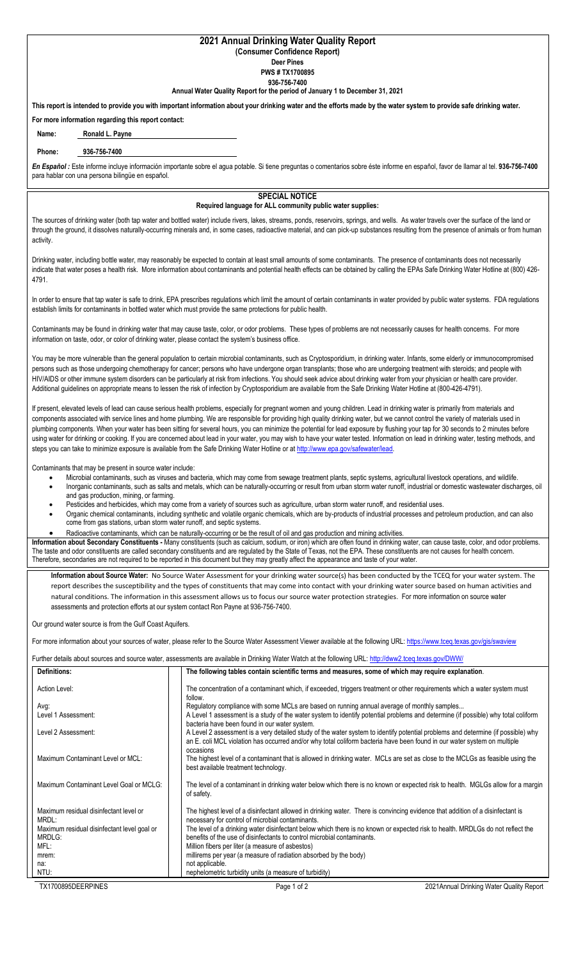## **2021 Annual Drinking Water Quality Report**

**(Consumer Confidence Report) Deer Pines** 

**PWS # TX1700895**

**936-756-7400**

**Annual Water Quality Report for the period of January 1 to December 31, 2021**

**This report is intended to provide you with important information about your drinking water and the efforts made by the water system to provide safe drinking water.**

**For more information regarding this report contact:**

**Name: Ronald L. Payne**

## **Phone: 936-756-7400**

*En Español :* Este informe incluye información importante sobre el agua potable. Si tiene preguntas o comentarios sobre éste informe en español, favor de llamar al tel. **936-756-7400**  para hablar con una persona bilingüe en español.

## **SPECIAL NOTICE**

## **Required language for ALL community public water supplies:**

The sources of drinking water (both tap water and bottled water) include rivers, lakes, streams, ponds, reservoirs, springs, and wells. As water travels over the surface of the land or through the ground, it dissolves naturally-occurring minerals and, in some cases, radioactive material, and can pick-up substances resulting from the presence of animals or from human activity.

Drinking water, including bottle water, may reasonably be expected to contain at least small amounts of some contaminants. The presence of contaminants does not necessarily indicate that water poses a health risk. More information about contaminants and potential health effects can be obtained by calling the EPAs Safe Drinking Water Hotline at (800) 426-4791.

In order to ensure that tap water is safe to drink, EPA prescribes regulations which limit the amount of certain contaminants in water provided by public water systems. FDA regulations establish limits for contaminants in bottled water which must provide the same protections for public health.

Contaminants may be found in drinking water that may cause taste, color, or odor problems. These types of problems are not necessarily causes for health concerns. For more information on taste, odor, or color of drinking water, please contact the system's business office.

You may be more vulnerable than the general population to certain microbial contaminants, such as Cryptosporidium, in drinking water. Infants, some elderly or immunocompromised persons such as those undergoing chemotherapy for cancer; persons who have undergone organ transplants; those who are undergoing treatment with steroids; and people with HIV/AIDS or other immune system disorders can be particularly at risk from infections. You should seek advice about drinking water from your physician or health care provider. Additional guidelines on appropriate means to lessen the risk of infection by Cryptosporidium are available from the Safe Drinking Water Hotline at (800-426-4791).

If present, elevated levels of lead can cause serious health problems, especially for pregnant women and young children. Lead in drinking water is primarily from materials and components associated with service lines and home plumbing. We are responsible for providing high quality drinking water, but we cannot control the variety of materials used in plumbing components. When your water has been sitting for several hours, you can minimize the potential for lead exposure by flushing your tap for 30 seconds to 2 minutes before using water for drinking or cooking. If you are concerned about lead in your water, you may wish to have your water tested. Information on lead in drinking water, testing methods, and steps you can take to minimize exposure is available from the Safe Drinking Water Hotline or a[t http://www.epa.gov/safewater/lead.](http://www.epa.gov/safewater/lead)

Contaminants that may be present in source water include:

- Microbial contaminants, such as viruses and bacteria, which may come from sewage treatment plants, septic systems, agricultural livestock operations, and wildlife.
- Inorganic contaminants, such as salts and metals, which can be naturally-occurring or result from urban storm water runoff, industrial or domestic wastewater discharges, oil and gas production, mining, or farming.
- Pesticides and herbicides, which may come from a variety of sources such as agriculture, urban storm water runoff, and residential uses.
- Organic chemical contaminants, including synthetic and volatile organic chemicals, which are by-products of industrial processes and petroleum production, and can also come from gas stations, urban storm water runoff, and septic systems.
- Radioactive contaminants, which can be naturally-occurring or be the result of oil and gas production and mining activities.

**Information about Secondary Constituents -** Many constituents (such as calcium, sodium, or iron) which are often found in drinking water, can cause taste, color, and odor problems. The taste and odor constituents are called secondary constituents and are regulated by the State of Texas, not the EPA. These constituents are not causes for health concern. Therefore, secondaries are not required to be reported in this document but they may greatly affect the appearance and taste of your water.

**Information about Source Water:** No Source Water Assessment for your drinking water source(s) has been conducted by the TCEQ for your water system. The report describes the susceptibility and the types of constituents that may come into contact with your drinking water source based on human activities and natural conditions. The information in this assessment allows us to focus our source water protection strategies. For more information on source water assessments and protection efforts at our system contact Ron Payne at 936-756-7400.

Our ground water source is from the Gulf Coast Aquifers.

For more information about your sources of water, please refer to the Source Water Assessment Viewer available at the following URL[: https://www.tceq.texas.gov/gis/swaview](https://www.tceq.texas.gov/gis/swaview)

Further details about sources and source water, assessments are available in Drinking Water Watch at the following URL[: http://dww2.tceq.texas.gov/DWW/](http://dww2.tceq.texas.gov/DWW/)

| <b>Definitions:</b>                             | The following tables contain scientific terms and measures, some of which may require explanation.                                                                                                                                                                        |
|-------------------------------------------------|---------------------------------------------------------------------------------------------------------------------------------------------------------------------------------------------------------------------------------------------------------------------------|
| Action Level:                                   | The concentration of a contaminant which, if exceeded, triggers treatment or other requirements which a water system must<br>follow.                                                                                                                                      |
| Avg:                                            | Regulatory compliance with some MCLs are based on running annual average of monthly samples                                                                                                                                                                               |
| Level 1 Assessment:                             | A Level 1 assessment is a study of the water system to identify potential problems and determine (if possible) why total coliform<br>bacteria have been found in our water system.                                                                                        |
| Level 2 Assessment:                             | A Level 2 assessment is a very detailed study of the water system to identify potential problems and determine (if possible) why<br>an E. coli MCL violation has occurred and/or why total coliform bacteria have been found in our water system on multiple<br>occasions |
| Maximum Contaminant Level or MCL:               | The highest level of a contaminant that is allowed in drinking water. MCLs are set as close to the MCLGs as feasible using the<br>best available treatment technology.                                                                                                    |
| Maximum Contaminant Level Goal or MCLG:         | The level of a contaminant in drinking water below which there is no known or expected risk to health. MGLGs allow for a margin<br>of safety.                                                                                                                             |
| Maximum residual disinfectant level or<br>MRDL: | The highest level of a disinfectant allowed in drinking water. There is convincing evidence that addition of a disinfectant is<br>necessary for control of microbial contaminants.                                                                                        |
| Maximum residual disinfectant level goal or     | The level of a drinking water disinfectant below which there is no known or expected risk to health. MRDLGs do not reflect the                                                                                                                                            |
| MRDLG:                                          | benefits of the use of disinfectants to control microbial contaminants.                                                                                                                                                                                                   |
| MFL:                                            | Million fibers per liter (a measure of asbestos)                                                                                                                                                                                                                          |
| mrem:                                           | millirems per year (a measure of radiation absorbed by the body)                                                                                                                                                                                                          |
| na:                                             | not applicable.                                                                                                                                                                                                                                                           |
| NTU:                                            | nephelometric turbidity units (a measure of turbidity)                                                                                                                                                                                                                    |